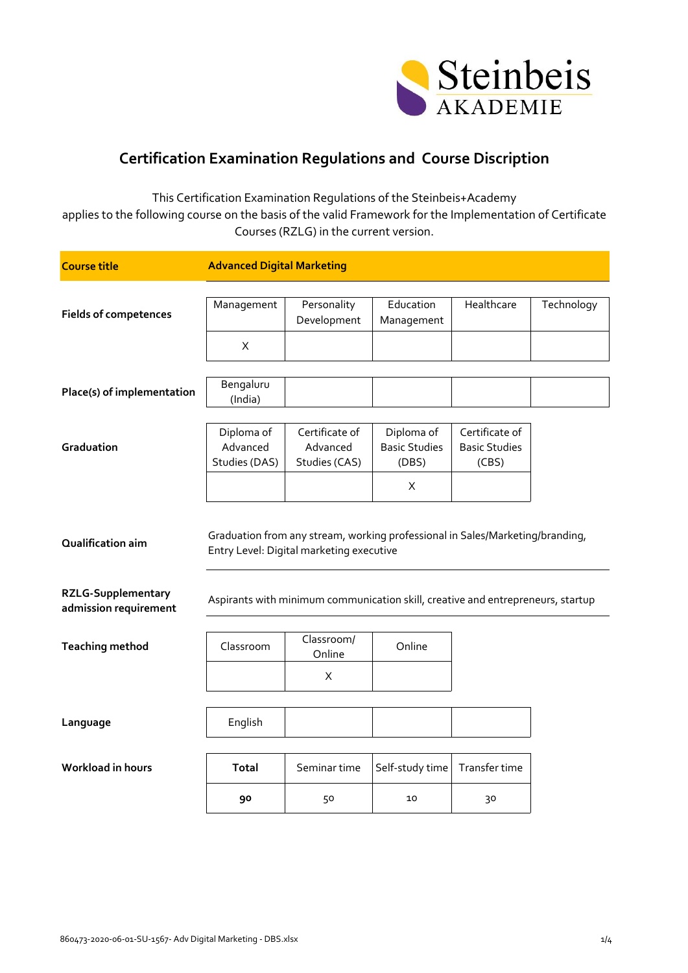

## **Certification Examination Regulations and Course Discription**

This Certification Examination Regulations of the Steinbeis+Academy applies to the following course on the basis of the valid Framework for the Implementation of Certificate Courses (RZLG) in the current version.

| <b>Course title</b>                                | <b>Advanced Digital Marketing</b>       |                                                                                                                           |                                             |                                                 |            |
|----------------------------------------------------|-----------------------------------------|---------------------------------------------------------------------------------------------------------------------------|---------------------------------------------|-------------------------------------------------|------------|
| <b>Fields of competences</b>                       | Management                              | Personality<br>Development                                                                                                | Education<br>Management                     | Healthcare                                      | Technology |
|                                                    | X                                       |                                                                                                                           |                                             |                                                 |            |
| Place(s) of implementation                         | Bengaluru<br>(India)                    |                                                                                                                           |                                             |                                                 |            |
| Graduation                                         | Diploma of<br>Advanced<br>Studies (DAS) | Certificate of<br>Advanced<br>Studies (CAS)                                                                               | Diploma of<br><b>Basic Studies</b><br>(DBS) | Certificate of<br><b>Basic Studies</b><br>(CBS) |            |
|                                                    |                                         |                                                                                                                           | X                                           |                                                 |            |
| Qualification aim                                  |                                         | Graduation from any stream, working professional in Sales/Marketing/branding,<br>Entry Level: Digital marketing executive |                                             |                                                 |            |
| <b>RZLG-Supplementary</b><br>admission requirement |                                         | Aspirants with minimum communication skill, creative and entrepreneurs, startup                                           |                                             |                                                 |            |
| <b>Teaching method</b>                             | Classroom                               | Classroom/<br>Online                                                                                                      | Online                                      |                                                 |            |
|                                                    |                                         | X                                                                                                                         |                                             |                                                 |            |
| Language                                           | English                                 |                                                                                                                           |                                             |                                                 |            |
| <b>Workload in hours</b>                           | Total                                   | Seminar time                                                                                                              | Self-study time                             | Transfer time                                   |            |
|                                                    | 90                                      | 50                                                                                                                        | 10                                          | 30                                              |            |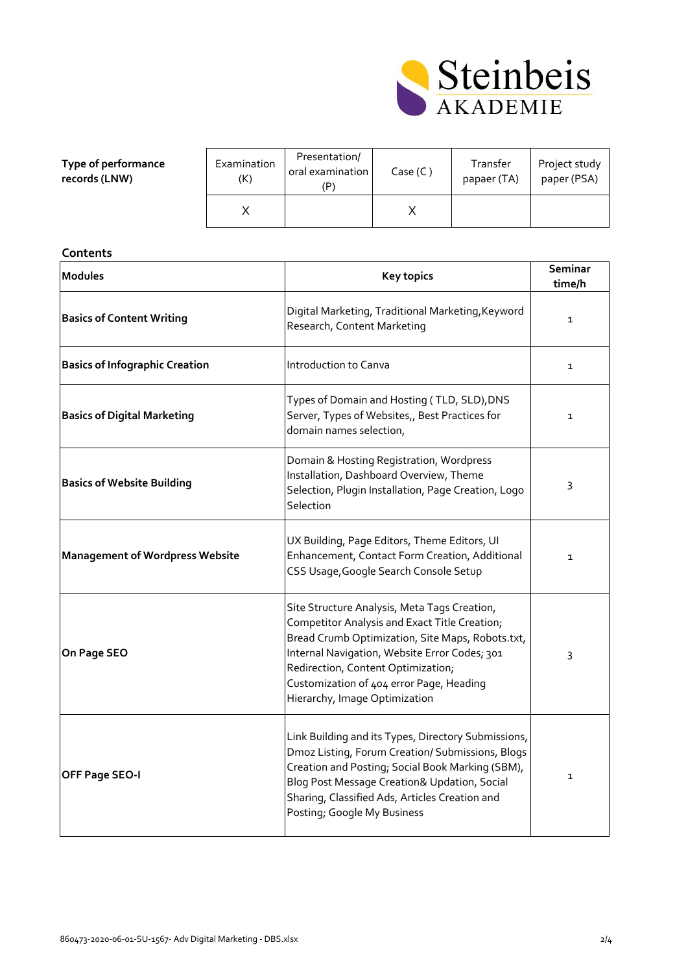

| Type of performance<br>records (LNW) | Examination<br>(K) | Presentation/<br>oral examination<br>(P | Case (C) | Transfer<br>papaer (TA) | Project study<br>paper (PSA) |
|--------------------------------------|--------------------|-----------------------------------------|----------|-------------------------|------------------------------|
|                                      |                    |                                         |          |                         |                              |

| Contents                               |                                                                                                                                                                                                                                                                                                                       |                   |  |  |
|----------------------------------------|-----------------------------------------------------------------------------------------------------------------------------------------------------------------------------------------------------------------------------------------------------------------------------------------------------------------------|-------------------|--|--|
| <b>Modules</b>                         | <b>Key topics</b>                                                                                                                                                                                                                                                                                                     | Seminar<br>time/h |  |  |
| <b>Basics of Content Writing</b>       | Digital Marketing, Traditional Marketing, Keyword<br>Research, Content Marketing                                                                                                                                                                                                                                      | $\mathbf{1}$      |  |  |
| <b>Basics of Infographic Creation</b>  | Introduction to Canva                                                                                                                                                                                                                                                                                                 | $\mathbf 1$       |  |  |
| <b>Basics of Digital Marketing</b>     | Types of Domain and Hosting (TLD, SLD), DNS<br>Server, Types of Websites,, Best Practices for<br>domain names selection,                                                                                                                                                                                              | $\mathbf 1$       |  |  |
| <b>Basics of Website Building</b>      | Domain & Hosting Registration, Wordpress<br>Installation, Dashboard Overview, Theme<br>Selection, Plugin Installation, Page Creation, Logo<br>Selection                                                                                                                                                               | 3                 |  |  |
| <b>Management of Wordpress Website</b> | UX Building, Page Editors, Theme Editors, UI<br>Enhancement, Contact Form Creation, Additional<br>CSS Usage, Google Search Console Setup                                                                                                                                                                              | $\mathbf{1}$      |  |  |
| On Page SEO                            | Site Structure Analysis, Meta Tags Creation,<br>Competitor Analysis and Exact Title Creation;<br>Bread Crumb Optimization, Site Maps, Robots.txt,<br>Internal Navigation, Website Error Codes; 301<br>Redirection, Content Optimization;<br>Customization of 404 error Page, Heading<br>Hierarchy, Image Optimization | 3                 |  |  |
| OFF Page SEO-I                         | Link Building and its Types, Directory Submissions,<br>Dmoz Listing, Forum Creation/ Submissions, Blogs<br>Creation and Posting; Social Book Marking (SBM),<br>Blog Post Message Creation& Updation, Social<br>Sharing, Classified Ads, Articles Creation and<br>Posting; Google My Business                          | $\mathbf 1$       |  |  |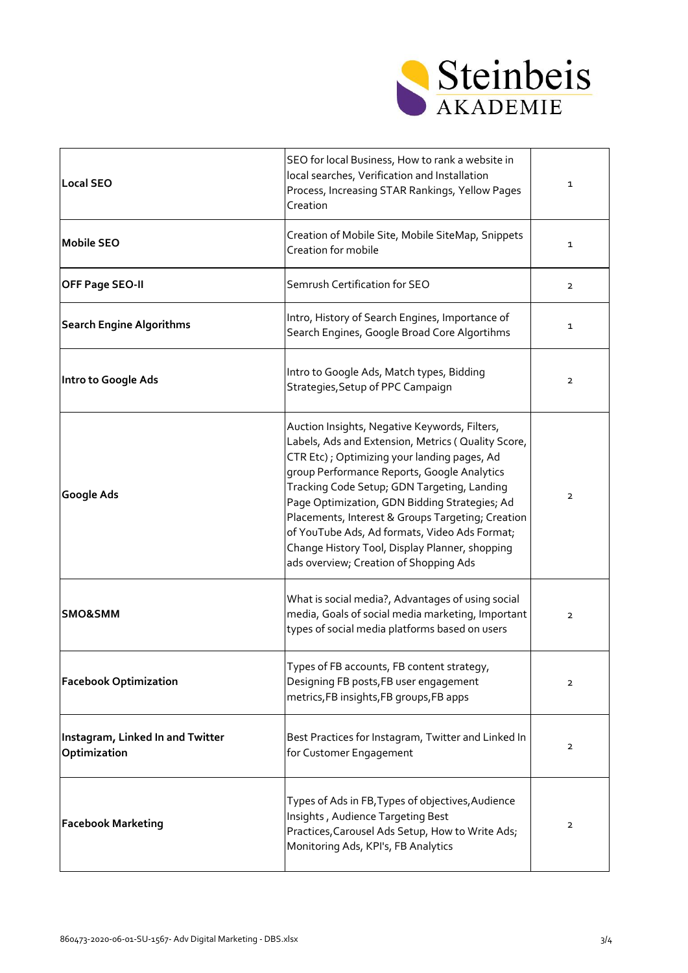

| <b>Local SEO</b>                                 | SEO for local Business, How to rank a website in<br>local searches, Verification and Installation<br>Process, Increasing STAR Rankings, Yellow Pages<br>Creation                                                                                                                                                                                                                                                                                                                                     | $\mathbf 1$    |
|--------------------------------------------------|------------------------------------------------------------------------------------------------------------------------------------------------------------------------------------------------------------------------------------------------------------------------------------------------------------------------------------------------------------------------------------------------------------------------------------------------------------------------------------------------------|----------------|
| <b>Mobile SEO</b>                                | Creation of Mobile Site, Mobile SiteMap, Snippets<br>Creation for mobile                                                                                                                                                                                                                                                                                                                                                                                                                             | $\mathbf{1}$   |
| OFF Page SEO-II                                  | Semrush Certification for SEO                                                                                                                                                                                                                                                                                                                                                                                                                                                                        | $\overline{2}$ |
| <b>Search Engine Algorithms</b>                  | Intro, History of Search Engines, Importance of<br>Search Engines, Google Broad Core Algortihms                                                                                                                                                                                                                                                                                                                                                                                                      | $\mathbf{1}$   |
| Intro to Google Ads                              | Intro to Google Ads, Match types, Bidding<br>Strategies, Setup of PPC Campaign                                                                                                                                                                                                                                                                                                                                                                                                                       | $\overline{2}$ |
| Google Ads                                       | Auction Insights, Negative Keywords, Filters,<br>Labels, Ads and Extension, Metrics ( Quality Score,<br>CTR Etc); Optimizing your landing pages, Ad<br>group Performance Reports, Google Analytics<br>Tracking Code Setup; GDN Targeting, Landing<br>Page Optimization, GDN Bidding Strategies; Ad<br>Placements, Interest & Groups Targeting; Creation<br>of YouTube Ads, Ad formats, Video Ads Format;<br>Change History Tool, Display Planner, shopping<br>ads overview; Creation of Shopping Ads | $\overline{2}$ |
| <b>SMO&amp;SMM</b>                               | What is social media?, Advantages of using social<br>media, Goals of social media marketing, Important<br>types of social media platforms based on users                                                                                                                                                                                                                                                                                                                                             | $\overline{2}$ |
| <b>Facebook Optimization</b>                     | Types of FB accounts, FB content strategy,<br>Designing FB posts, FB user engagement<br>metrics, FB insights, FB groups, FB apps                                                                                                                                                                                                                                                                                                                                                                     | $\overline{2}$ |
| Instagram, Linked In and Twitter<br>Optimization | Best Practices for Instagram, Twitter and Linked In<br>for Customer Engagement                                                                                                                                                                                                                                                                                                                                                                                                                       | $\overline{2}$ |
| <b>Facebook Marketing</b>                        | Types of Ads in FB, Types of objectives, Audience<br>Insights, Audience Targeting Best<br>Practices, Carousel Ads Setup, How to Write Ads;<br>Monitoring Ads, KPI's, FB Analytics                                                                                                                                                                                                                                                                                                                    | $\overline{2}$ |